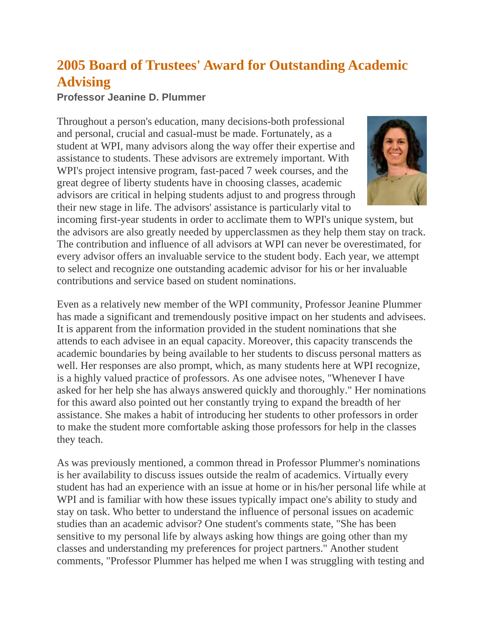## **2005 Board of Trustees' Award for Outstanding Academic Advising**

## **Professor Jeanine D. Plummer**

Throughout a person's education, many decisions-both professional and personal, crucial and casual-must be made. Fortunately, as a student at WPI, many advisors along the way offer their expertise and assistance to students. These advisors are extremely important. With WPI's project intensive program, fast-paced 7 week courses, and the great degree of liberty students have in choosing classes, academic advisors are critical in helping students adjust to and progress through their new stage in life. The advisors' assistance is particularly vital to



incoming first-year students in order to acclimate them to WPI's unique system, but the advisors are also greatly needed by upperclassmen as they help them stay on track. The contribution and influence of all advisors at WPI can never be overestimated, for every advisor offers an invaluable service to the student body. Each year, we attempt to select and recognize one outstanding academic advisor for his or her invaluable contributions and service based on student nominations.

Even as a relatively new member of the WPI community, Professor Jeanine Plummer has made a significant and tremendously positive impact on her students and advisees. It is apparent from the information provided in the student nominations that she attends to each advisee in an equal capacity. Moreover, this capacity transcends the academic boundaries by being available to her students to discuss personal matters as well. Her responses are also prompt, which, as many students here at WPI recognize, is a highly valued practice of professors. As one advisee notes, "Whenever I have asked for her help she has always answered quickly and thoroughly." Her nominations for this award also pointed out her constantly trying to expand the breadth of her assistance. She makes a habit of introducing her students to other professors in order to make the student more comfortable asking those professors for help in the classes they teach.

As was previously mentioned, a common thread in Professor Plummer's nominations is her availability to discuss issues outside the realm of academics. Virtually every student has had an experience with an issue at home or in his/her personal life while at WPI and is familiar with how these issues typically impact one's ability to study and stay on task. Who better to understand the influence of personal issues on academic studies than an academic advisor? One student's comments state, "She has been sensitive to my personal life by always asking how things are going other than my classes and understanding my preferences for project partners." Another student comments, "Professor Plummer has helped me when I was struggling with testing and